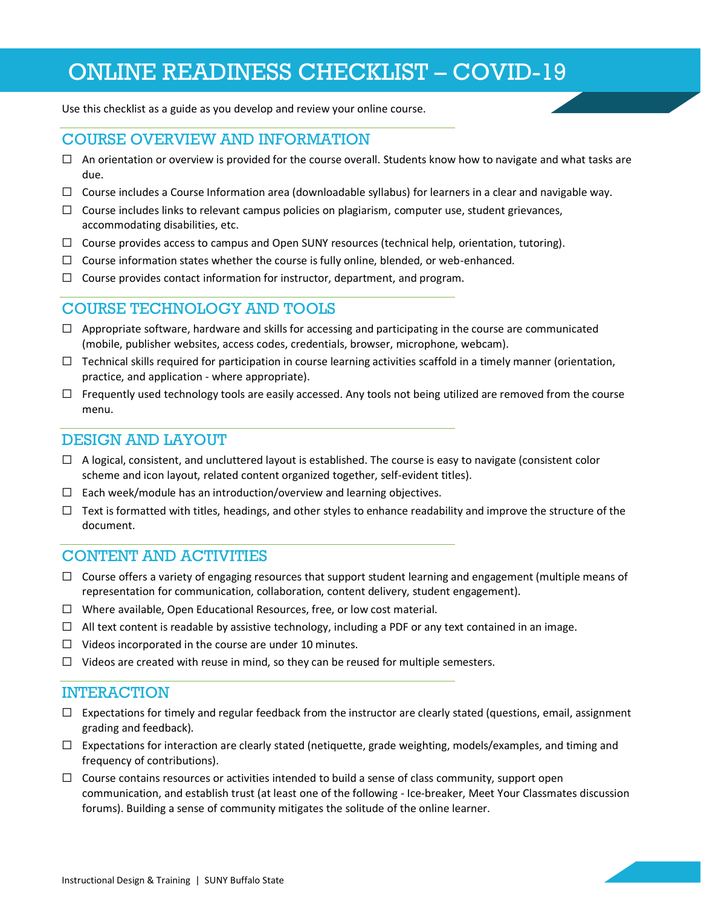# ONLINE READINESS CHECKLIST – COVID-19

Use this checklist as a guide as you develop and review your online course.

## COURSE OVERVIEW AND INFORMATION

- $\Box$  An orientation or overview is provided for the course overall. Students know how to navigate and what tasks are due.
- $\Box$  Course includes a Course Information area (downloadable syllabus) for learners in a clear and navigable way.
- $\Box$  Course includes links to relevant campus policies on plagiarism, computer use, student grievances, accommodating disabilities, etc.
- $\Box$  Course provides access to campus and Open SUNY resources (technical help, orientation, tutoring).
- $\Box$  Course information states whether the course is fully online, blended, or web-enhanced.
- $\Box$  Course provides contact information for instructor, department, and program.

## COURSE TECHNOLOGY AND TOOLS

- $\Box$  Appropriate software, hardware and skills for accessing and participating in the course are communicated (mobile, publisher websites, access codes, credentials, browser, microphone, webcam).
- $\Box$  Technical skills required for participation in course learning activities scaffold in a timely manner (orientation, practice, and application - where appropriate).
- $\Box$  Frequently used technology tools are easily accessed. Any tools not being utilized are removed from the course menu.

#### DESIGN AND LAYOUT

- $\Box$  A logical, consistent, and uncluttered layout is established. The course is easy to navigate (consistent color scheme and icon layout, related content organized together, self-evident titles).
- $\Box$  Each week/module has an introduction/overview and learning objectives.
- $\Box$  Text is formatted with titles, headings, and other styles to enhance readability and improve the structure of the document.

#### CONTENT AND ACTIVITIES

- $\Box$  Course offers a variety of engaging resources that support student learning and engagement (multiple means of representation for communication, collaboration, content delivery, student engagement).
- ☐ Where available, Open Educational Resources, free, or low cost material.
- $\Box$  All text content is readable by assistive technology, including a PDF or any text contained in an image.
- ☐ Videos incorporated in the course are under 10 minutes.
- $\Box$  Videos are created with reuse in mind, so they can be reused for multiple semesters.

#### INTERACTION

- $\Box$  Expectations for timely and regular feedback from the instructor are clearly stated (questions, email, assignment grading and feedback).
- $\Box$  Expectations for interaction are clearly stated (netiquette, grade weighting, models/examples, and timing and frequency of contributions).
- $\Box$  Course contains resources or activities intended to build a sense of class community, support open communication, and establish trust (at least one of the following - Ice-breaker, Meet Your Classmates discussion forums). Building a sense of community mitigates the solitude of the online learner.